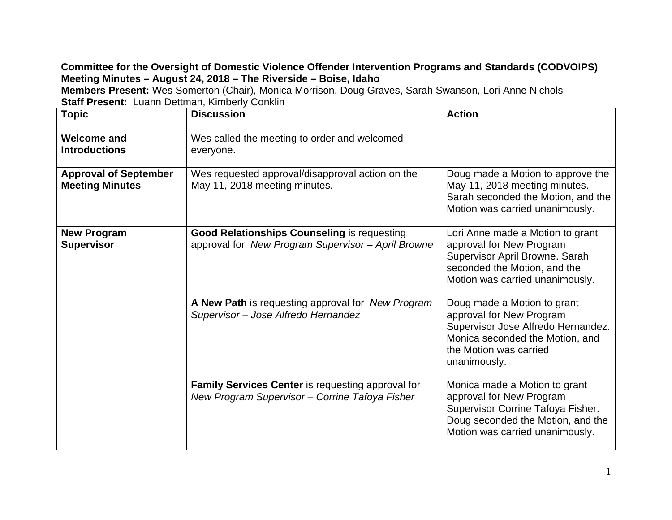## **Committee for the Oversight of Domestic Violence Offender Intervention Programs and Standards (CODVOIPS) Meeting Minutes – August 24, 2018 – The Riverside – Boise, Idaho**

**Members Present:** Wes Somerton (Chair), Monica Morrison, Doug Graves, Sarah Swanson, Lori Anne Nichols **Staff Present: Luann Dettman, Kimberly Conklin** 

| <b>Topic</b>                                           | <b>Discussion</b>                                                                                          | <b>Action</b>                                                                                                                                                              |
|--------------------------------------------------------|------------------------------------------------------------------------------------------------------------|----------------------------------------------------------------------------------------------------------------------------------------------------------------------------|
|                                                        |                                                                                                            |                                                                                                                                                                            |
| <b>Welcome and</b><br><b>Introductions</b>             | Wes called the meeting to order and welcomed<br>everyone.                                                  |                                                                                                                                                                            |
| <b>Approval of September</b><br><b>Meeting Minutes</b> | Wes requested approval/disapproval action on the<br>May 11, 2018 meeting minutes.                          | Doug made a Motion to approve the<br>May 11, 2018 meeting minutes.<br>Sarah seconded the Motion, and the<br>Motion was carried unanimously.                                |
| <b>New Program</b><br><b>Supervisor</b>                | <b>Good Relationships Counseling is requesting</b><br>approval for New Program Supervisor - April Browne   | Lori Anne made a Motion to grant<br>approval for New Program<br>Supervisor April Browne. Sarah<br>seconded the Motion, and the<br>Motion was carried unanimously.          |
|                                                        | A New Path is requesting approval for New Program<br>Supervisor - Jose Alfredo Hernandez                   | Doug made a Motion to grant<br>approval for New Program<br>Supervisor Jose Alfredo Hernandez.<br>Monica seconded the Motion, and<br>the Motion was carried<br>unanimously. |
|                                                        | <b>Family Services Center is requesting approval for</b><br>New Program Supervisor - Corrine Tafoya Fisher | Monica made a Motion to grant<br>approval for New Program<br>Supervisor Corrine Tafoya Fisher.<br>Doug seconded the Motion, and the<br>Motion was carried unanimously.     |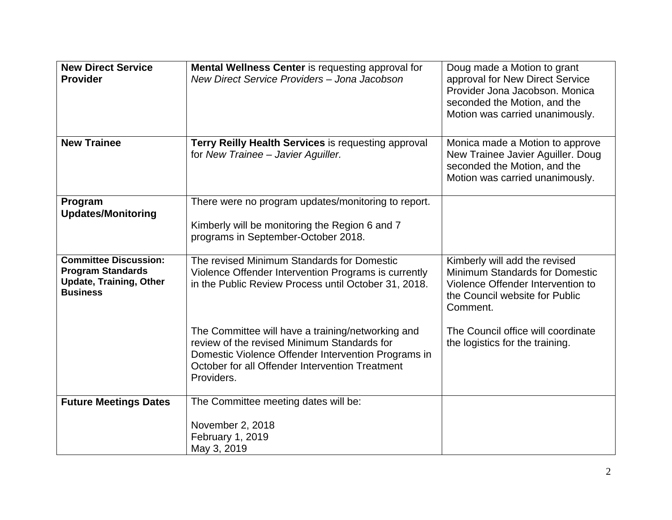| <b>New Direct Service</b><br><b>Provider</b>                                                                  | <b>Mental Wellness Center</b> is requesting approval for<br>New Direct Service Providers - Jona Jacobson                                                                                                                 | Doug made a Motion to grant<br>approval for New Direct Service<br>Provider Jona Jacobson, Monica<br>seconded the Motion, and the<br>Motion was carried unanimously. |
|---------------------------------------------------------------------------------------------------------------|--------------------------------------------------------------------------------------------------------------------------------------------------------------------------------------------------------------------------|---------------------------------------------------------------------------------------------------------------------------------------------------------------------|
| <b>New Trainee</b>                                                                                            | Terry Reilly Health Services is requesting approval<br>for New Trainee - Javier Aguiller.                                                                                                                                | Monica made a Motion to approve<br>New Trainee Javier Aguiller. Doug<br>seconded the Motion, and the<br>Motion was carried unanimously.                             |
| Program<br><b>Updates/Monitoring</b>                                                                          | There were no program updates/monitoring to report.<br>Kimberly will be monitoring the Region 6 and 7<br>programs in September-October 2018.                                                                             |                                                                                                                                                                     |
| <b>Committee Discussion:</b><br><b>Program Standards</b><br><b>Update, Training, Other</b><br><b>Business</b> | The revised Minimum Standards for Domestic<br>Violence Offender Intervention Programs is currently<br>in the Public Review Process until October 31, 2018.                                                               | Kimberly will add the revised<br>Minimum Standards for Domestic<br>Violence Offender Intervention to<br>the Council website for Public<br>Comment.                  |
|                                                                                                               | The Committee will have a training/networking and<br>review of the revised Minimum Standards for<br>Domestic Violence Offender Intervention Programs in<br>October for all Offender Intervention Treatment<br>Providers. | The Council office will coordinate<br>the logistics for the training.                                                                                               |
| <b>Future Meetings Dates</b>                                                                                  | The Committee meeting dates will be:                                                                                                                                                                                     |                                                                                                                                                                     |
|                                                                                                               | November 2, 2018<br>February 1, 2019<br>May 3, 2019                                                                                                                                                                      |                                                                                                                                                                     |